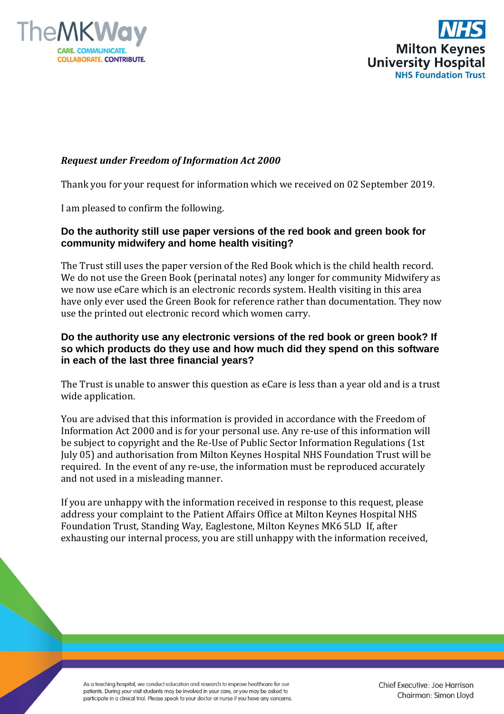



## *Request under Freedom of Information Act 2000*

Thank you for your request for information which we received on 02 September 2019.

I am pleased to confirm the following.

## **Do the authority still use paper versions of the red book and green book for community midwifery and home health visiting?**

The Trust still uses the paper version of the Red Book which is the child health record. We do not use the Green Book (perinatal notes) any longer for community Midwifery as we now use eCare which is an electronic records system. Health visiting in this area have only ever used the Green Book for reference rather than documentation. They now use the printed out electronic record which women carry.

## **Do the authority use any electronic versions of the red book or green book? If so which products do they use and how much did they spend on this software in each of the last three financial years?**

The Trust is unable to answer this question as eCare is less than a year old and is a trust wide application.

You are advised that this information is provided in accordance with the Freedom of Information Act 2000 and is for your personal use. Any re-use of this information will be subject to copyright and the Re-Use of Public Sector Information Regulations (1st July 05) and authorisation from Milton Keynes Hospital NHS Foundation Trust will be required. In the event of any re-use, the information must be reproduced accurately and not used in a misleading manner.

If you are unhappy with the information received in response to this request, please address your complaint to the Patient Affairs Office at Milton Keynes Hospital NHS Foundation Trust, Standing Way, Eaglestone, Milton Keynes MK6 5LD If, after exhausting our internal process, you are still unhappy with the information received,

As a teaching hospital, we conduct education and research to improve healthcare for our patients. During your visit students may be involved in your care, or you may be asked to participate in a clinical trial. Please speak to your doctor or nurse if you have any concerns. Chief Executive: Joe Harrison Chairman: Simon Lloyd